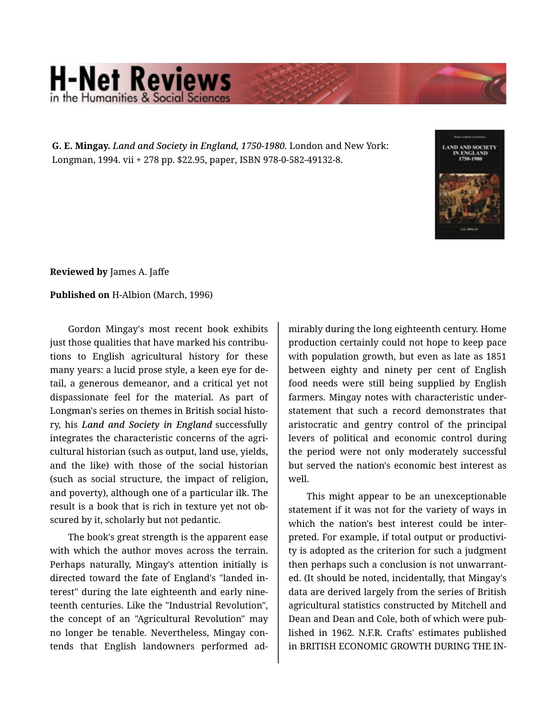## **H-Net Reviews** in the Humanities & Social Scie

**G. E. Mingay.** *Land and Society in England, 1750-1980.* London and New York: Longman, 1994. vii + 278 pp. \$22.95, paper, ISBN 978-0-582-49132-8.



**Reviewed by** James A. Jaffe

**Published on** H-Albion (March, 1996)

Gordon Mingay's most recent book exhibits just those qualities that have marked his contributions to English agricultural history for these many years: a lucid prose style, a keen eye for de‐ tail, a generous demeanor, and a critical yet not dispassionate feel for the material. As part of Longman's series on themes in British social histo‐ ry, his *Land and Society in England* successfully integrates the characteristic concerns of the agricultural historian (such as output, land use, yields, and the like) with those of the social historian (such as social structure, the impact of religion, and poverty), although one of a particular ilk. The result is a book that is rich in texture yet not ob‐ scured by it, scholarly but not pedantic.

The book's great strength is the apparent ease with which the author moves across the terrain. Perhaps naturally, Mingay's attention initially is directed toward the fate of England's "landed in‐ terest" during the late eighteenth and early nine‐ teenth centuries. Like the "Industrial Revolution", the concept of an "Agricultural Revolution" may no longer be tenable. Nevertheless, Mingay con‐ tends that English landowners performed ad‐

mirably during the long eighteenth century. Home production certainly could not hope to keep pace with population growth, but even as late as 1851 between eighty and ninety per cent of English food needs were still being supplied by English farmers. Mingay notes with characteristic under‐ statement that such a record demonstrates that aristocratic and gentry control of the principal levers of political and economic control during the period were not only moderately successful but served the nation's economic best interest as well.

This might appear to be an unexceptionable statement if it was not for the variety of ways in which the nation's best interest could be interpreted. For example, if total output or productivi‐ ty is adopted as the criterion for such a judgment then perhaps such a conclusion is not unwarrant‐ ed. (It should be noted, incidentally, that Mingay's data are derived largely from the series of British agricultural statistics constructed by Mitchell and Dean and Dean and Cole, both of which were pub‐ lished in 1962. N.F.R. Crafts' estimates published in BRITISH ECONOMIC GROWTH DURING THE IN‐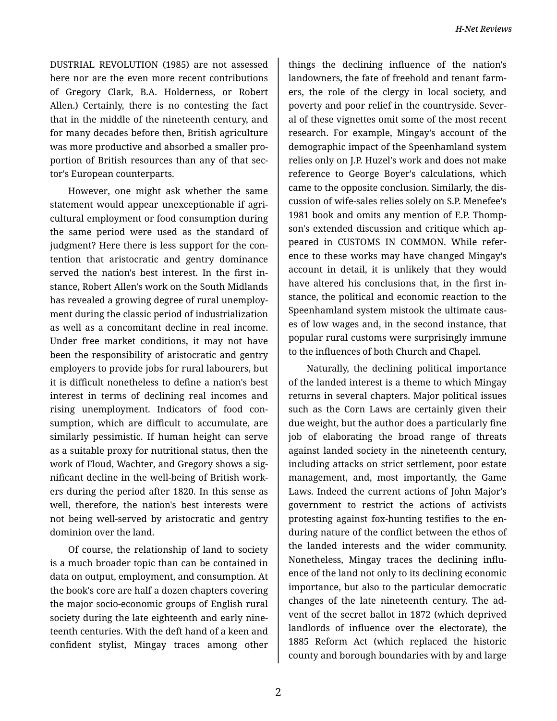DUSTRIAL REVOLUTION (1985) are not assessed here nor are the even more recent contributions of Gregory Clark, B.A. Holderness, or Robert Allen.) Certainly, there is no contesting the fact that in the middle of the nineteenth century, and for many decades before then, British agriculture was more productive and absorbed a smaller pro‐ portion of British resources than any of that sec‐ tor's European counterparts.

However, one might ask whether the same statement would appear unexceptionable if agri‐ cultural employment or food consumption during the same period were used as the standard of judgment? Here there is less support for the contention that aristocratic and gentry dominance served the nation's best interest. In the first in‐ stance, Robert Allen's work on the South Midlands has revealed a growing degree of rural unemploy‐ ment during the classic period of industrialization as well as a concomitant decline in real income. Under free market conditions, it may not have been the responsibility of aristocratic and gentry employers to provide jobs for rural labourers, but it is difficult nonetheless to define a nation's best interest in terms of declining real incomes and rising unemployment. Indicators of food con‐ sumption, which are difficult to accumulate, are similarly pessimistic. If human height can serve as a suitable proxy for nutritional status, then the work of Floud, Wachter, and Gregory shows a sig‐ nificant decline in the well-being of British work‐ ers during the period after 1820. In this sense as well, therefore, the nation's best interests were not being well-served by aristocratic and gentry dominion over the land.

Of course, the relationship of land to society is a much broader topic than can be contained in data on output, employment, and consumption. At the book's core are half a dozen chapters covering the major socio-economic groups of English rural society during the late eighteenth and early nine‐ teenth centuries. With the deft hand of a keen and confident stylist, Mingay traces among other

things the declining influence of the nation's landowners, the fate of freehold and tenant farm‐ ers, the role of the clergy in local society, and poverty and poor relief in the countryside. Sever‐ al of these vignettes omit some of the most recent research. For example, Mingay's account of the demographic impact of the Speenhamland system relies only on J.P. Huzel's work and does not make reference to George Boyer's calculations, which came to the opposite conclusion. Similarly, the dis‐ cussion of wife-sales relies solely on S.P. Menefee's 1981 book and omits any mention of E.P. Thomp‐ son's extended discussion and critique which ap‐ peared in CUSTOMS IN COMMON. While refer‐ ence to these works may have changed Mingay's account in detail, it is unlikely that they would have altered his conclusions that, in the first in‐ stance, the political and economic reaction to the Speenhamland system mistook the ultimate caus‐ es of low wages and, in the second instance, that popular rural customs were surprisingly immune to the influences of both Church and Chapel.

Naturally, the declining political importance of the landed interest is a theme to which Mingay returns in several chapters. Major political issues such as the Corn Laws are certainly given their due weight, but the author does a particularly fine job of elaborating the broad range of threats against landed society in the nineteenth century, including attacks on strict settlement, poor estate management, and, most importantly, the Game Laws. Indeed the current actions of John Major's government to restrict the actions of activists protesting against fox-hunting testifies to the en‐ during nature of the conflict between the ethos of the landed interests and the wider community. Nonetheless, Mingay traces the declining influ‐ ence of the land not only to its declining economic importance, but also to the particular democratic changes of the late nineteenth century. The ad‐ vent of the secret ballot in 1872 (which deprived landlords of influence over the electorate), the 1885 Reform Act (which replaced the historic county and borough boundaries with by and large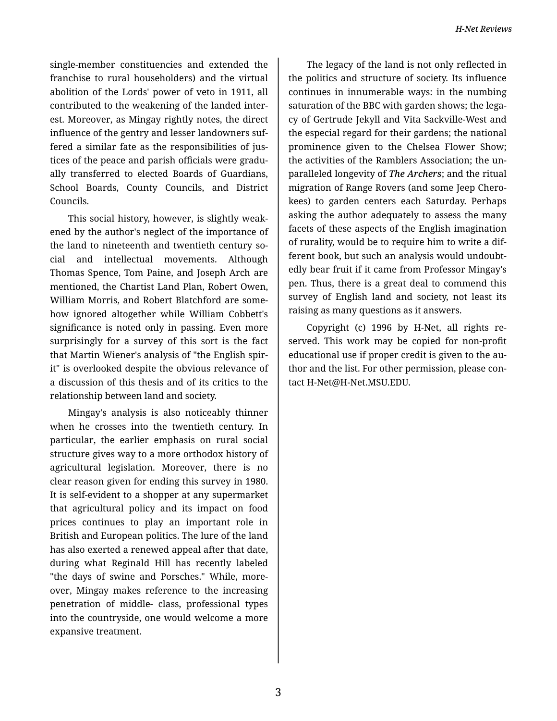single-member constituencies and extended the franchise to rural householders) and the virtual abolition of the Lords' power of veto in 1911, all contributed to the weakening of the landed inter‐ est. Moreover, as Mingay rightly notes, the direct influence of the gentry and lesser landowners suf‐ fered a similar fate as the responsibilities of jus‐ tices of the peace and parish officials were gradu‐ ally transferred to elected Boards of Guardians, School Boards, County Councils, and District Councils.

This social history, however, is slightly weak‐ ened by the author's neglect of the importance of the land to nineteenth and twentieth century social and intellectual movements. Although Thomas Spence, Tom Paine, and Joseph Arch are mentioned, the Chartist Land Plan, Robert Owen, William Morris, and Robert Blatchford are some‐ how ignored altogether while William Cobbett's significance is noted only in passing. Even more surprisingly for a survey of this sort is the fact that Martin Wiener's analysis of "the English spir‐ it" is overlooked despite the obvious relevance of a discussion of this thesis and of its critics to the relationship between land and society.

Mingay's analysis is also noticeably thinner when he crosses into the twentieth century. In particular, the earlier emphasis on rural social structure gives way to a more orthodox history of agricultural legislation. Moreover, there is no clear reason given for ending this survey in 1980. It is self-evident to a shopper at any supermarket that agricultural policy and its impact on food prices continues to play an important role in British and European politics. The lure of the land has also exerted a renewed appeal after that date, during what Reginald Hill has recently labeled "the days of swine and Porsches." While, more‐ over, Mingay makes reference to the increasing penetration of middle- class, professional types into the countryside, one would welcome a more expansive treatment.

The legacy of the land is not only reflected in the politics and structure of society. Its influence continues in innumerable ways: in the numbing saturation of the BBC with garden shows; the legacy of Gertrude Jekyll and Vita Sackville-West and the especial regard for their gardens; the national prominence given to the Chelsea Flower Show; the activities of the Ramblers Association; the un‐ paralleled longevity of *The Archers*; and the ritual migration of Range Rovers (and some Jeep Chero‐ kees) to garden centers each Saturday. Perhaps asking the author adequately to assess the many facets of these aspects of the English imagination of rurality, would be to require him to write a dif‐ ferent book, but such an analysis would undoubt‐ edly bear fruit if it came from Professor Mingay's pen. Thus, there is a great deal to commend this survey of English land and society, not least its raising as many questions as it answers.

Copyright (c) 1996 by H-Net, all rights re‐ served. This work may be copied for non-profit educational use if proper credit is given to the au‐ thor and the list. For other permission, please con‐ tact H-Net@H-Net.MSU.EDU.